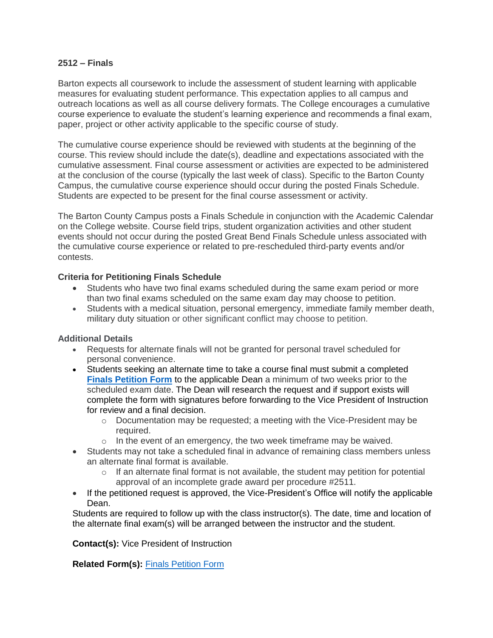## **2512 – Finals**

Barton expects all coursework to include the assessment of student learning with applicable measures for evaluating student performance. This expectation applies to all campus and outreach locations as well as all course delivery formats. The College encourages a cumulative course experience to evaluate the student's learning experience and recommends a final exam, paper, project or other activity applicable to the specific course of study.

The cumulative course experience should be reviewed with students at the beginning of the course. This review should include the date(s), deadline and expectations associated with the cumulative assessment. Final course assessment or activities are expected to be administered at the conclusion of the course (typically the last week of class). Specific to the Barton County Campus, the cumulative course experience should occur during the posted Finals Schedule. Students are expected to be present for the final course assessment or activity.

The Barton County Campus posts a Finals Schedule in conjunction with the Academic Calendar on the College website. Course field trips, student organization activities and other student events should not occur during the posted Great Bend Finals Schedule unless associated with the cumulative course experience or related to pre-rescheduled third-party events and/or contests.

## **Criteria for Petitioning Finals Schedule**

- Students who have two final exams scheduled during the same exam period or more than two final exams scheduled on the same exam day may choose to petition.
- Students with a medical situation, personal emergency, immediate family member death, military duty situation or other significant conflict may choose to petition.

## **Additional Details**

- Requests for alternate finals will not be granted for personal travel scheduled for personal convenience.
- Students seeking an alternate time to take a course final must submit a completed **[Finals Petition Form](https://docs.bartonccc.edu/procedures/forms/Finals_Petition_Form.docx)** to the applicable Dean a minimum of two weeks prior to the scheduled exam date. The Dean will research the request and if support exists will complete the form with signatures before forwarding to the Vice President of Instruction for review and a final decision.
	- $\circ$  Documentation may be requested; a meeting with the Vice-President may be required.
	- o In the event of an emergency, the two week timeframe may be waived.
- Students may not take a scheduled final in advance of remaining class members unless an alternate final format is available.
	- o If an alternate final format is not available, the student may petition for potential approval of an incomplete grade award per procedure #2511.
- If the petitioned request is approved, the Vice-President's Office will notify the applicable Dean.

Students are required to follow up with the class instructor(s). The date, time and location of the alternate final exam(s) will be arranged between the instructor and the student.

**Contact(s):** Vice President of Instruction

**Related Form(s):** [Finals Petition Form](https://docs.bartonccc.edu/procedures/forms/Finals_Petition_Form.docx)